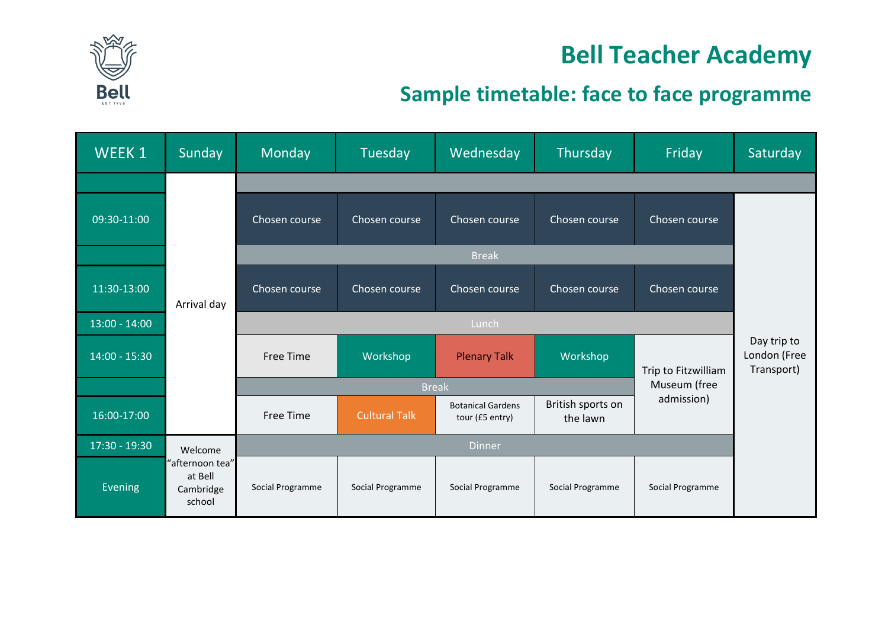

### **Bell Teacher Academy**

### **Sample timetable: face to face programme**

| WEEK 1          | Sunday                                            | Monday                       | Tuesday              | Wednesday                                   | Thursday                      | Friday              | Saturday                                  |  |
|-----------------|---------------------------------------------------|------------------------------|----------------------|---------------------------------------------|-------------------------------|---------------------|-------------------------------------------|--|
|                 |                                                   |                              |                      |                                             |                               |                     |                                           |  |
| 09:30-11:00     | Arrival day                                       | Chosen course                | Chosen course        | Chosen course                               | Chosen course                 | Chosen course       |                                           |  |
|                 |                                                   | <b>Break</b>                 |                      |                                             |                               |                     |                                           |  |
| 11:30-13:00     |                                                   | Chosen course                | Chosen course        | Chosen course                               | Chosen course                 | Chosen course       |                                           |  |
| $13:00 - 14:00$ |                                                   | Lunch                        |                      |                                             |                               |                     |                                           |  |
| $14:00 - 15:30$ |                                                   | <b>Free Time</b>             | Workshop             | <b>Plenary Talk</b>                         | Workshop                      | Trip to Fitzwilliam | Day trip to<br>London (Free<br>Transport) |  |
|                 |                                                   | Museum (free<br><b>Break</b> |                      |                                             |                               |                     |                                           |  |
| 16:00-17:00     |                                                   | <b>Free Time</b>             | <b>Cultural Talk</b> | <b>Botanical Gardens</b><br>tour (£5 entry) | British sports on<br>the lawn | admission)          |                                           |  |
| 17:30 - 19:30   | Welcome                                           | <b>Dinner</b>                |                      |                                             |                               |                     |                                           |  |
| Evening         | "afternoon tea"<br>at Bell<br>Cambridge<br>school | Social Programme             | Social Programme     | Social Programme                            | Social Programme              | Social Programme    |                                           |  |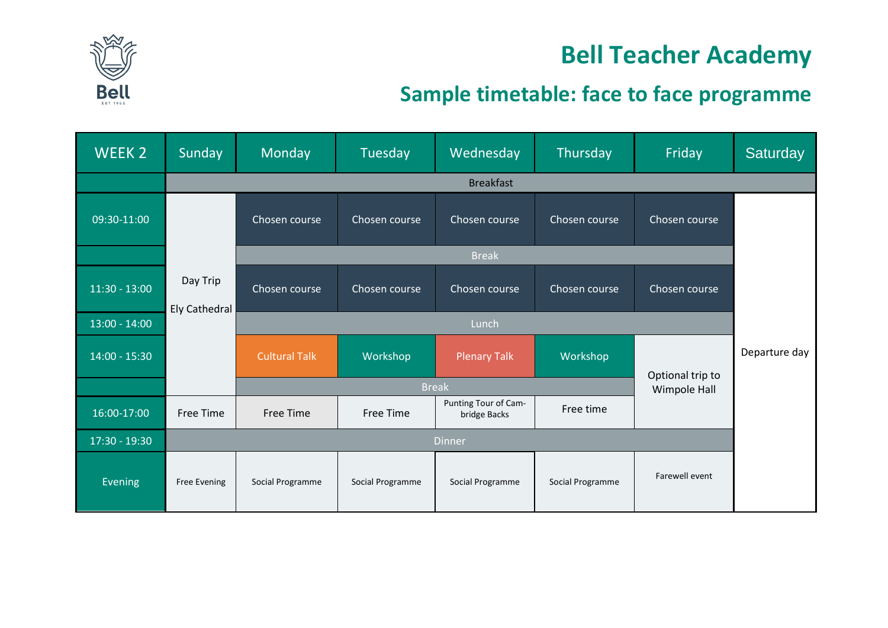

## **Bell Teacher Academy**

### **Sample timetable: face to face programme**

| WEEK 2          | Sunday                    | Monday               | Tuesday          | Wednesday                            | Thursday         | Friday           | Saturday      |
|-----------------|---------------------------|----------------------|------------------|--------------------------------------|------------------|------------------|---------------|
|                 |                           | <b>Breakfast</b>     |                  |                                      |                  |                  |               |
| 09:30-11:00     | Day Trip<br>Ely Cathedral | Chosen course        | Chosen course    | Chosen course                        | Chosen course    | Chosen course    |               |
|                 |                           |                      |                  | <b>Break</b>                         |                  |                  |               |
| $11:30 - 13:00$ |                           | Chosen course        | Chosen course    | Chosen course                        | Chosen course    | Chosen course    |               |
| $13:00 - 14:00$ |                           | Lunch                |                  |                                      |                  |                  |               |
| $14:00 - 15:30$ |                           | <b>Cultural Talk</b> | Workshop         | <b>Plenary Talk</b>                  | Workshop         | Optional trip to | Departure day |
|                 |                           | <b>Break</b>         |                  |                                      |                  | Wimpole Hall     |               |
| 16:00-17:00     | <b>Free Time</b>          | Free Time            | <b>Free Time</b> | Punting Tour of Cam-<br>bridge Backs | Free time        |                  |               |
| 17:30 - 19:30   |                           | <b>Dinner</b>        |                  |                                      |                  |                  |               |
| Evening         | <b>Free Evening</b>       | Social Programme     | Social Programme | Social Programme                     | Social Programme | Farewell event   |               |